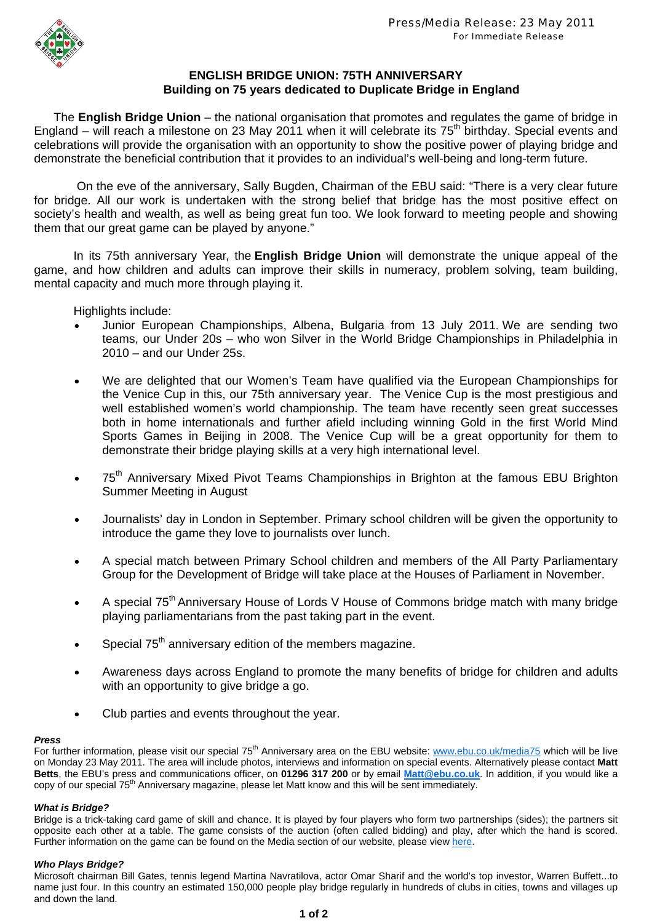

# **ENGLISH BRIDGE UNION: 75TH ANNIVERSARY Building on 75 years dedicated to Duplicate Bridge in England**

The **English Bridge Union** – the national organisation that promotes and regulates the game of bridge in England – will reach a milestone on 23 May 2011 when it will celebrate its 75<sup>th</sup> birthday. Special events and celebrations will provide the organisation with an opportunity to show the positive power of playing bridge and demonstrate the beneficial contribution that it provides to an individual's well-being and long-term future.

On the eve of the anniversary, Sally Bugden, Chairman of the EBU said: "There is a very clear future for bridge. All our work is undertaken with the strong belief that bridge has the most positive effect on society's health and wealth, as well as being great fun too. We look forward to meeting people and showing them that our great game can be played by anyone."

In its 75th anniversary Year, the **English Bridge Union** will demonstrate the unique appeal of the game, and how children and adults can improve their skills in numeracy, problem solving, team building, mental capacity and much more through playing it.

Highlights include:

- Junior European Championships, Albena, Bulgaria from 13 July 2011. We are sending two teams, our Under 20s – who won Silver in the World Bridge Championships in Philadelphia in 2010 – and our Under 25s.
- We are delighted that our Women's Team have qualified via the European Championships for the Venice Cup in this, our 75th anniversary year. The Venice Cup is the most prestigious and well established women's world championship. The team have recently seen great successes both in home internationals and further afield including winning Gold in the first World Mind Sports Games in Beijing in 2008. The Venice Cup will be a great opportunity for them to demonstrate their bridge playing skills at a very high international level.
- 75<sup>th</sup> Anniversarv Mixed Pivot Teams Championships in Brighton at the famous EBU Brighton Summer Meeting in August
- Journalists' day in London in September. Primary school children will be given the opportunity to introduce the game they love to journalists over lunch.
- A special match between Primary School children and members of the All Party Parliamentary Group for the Development of Bridge will take place at the Houses of Parliament in November.
- A special 75<sup>th</sup> Anniversary House of Lords V House of Commons bridge match with many bridge playing parliamentarians from the past taking part in the event.
- Special 75<sup>th</sup> anniversary edition of the members magazine.
- Awareness days across England to promote the many benefits of bridge for children and adults with an opportunity to give bridge a go.
- Club parties and events throughout the year.

### *Press*

For further information, please visit our special 75<sup>th</sup> Anniversary area on the EBU website: www.ebu.co.uk/media75 which will be live on Monday 23 May 2011. The area will include photos, interviews and information on special events. Alternatively please contact **Matt Betts**, the EBU's press and communications officer, on **01296 317 200** or by email **Matt@ebu.co.uk**. In addition, if you would like a copy of our special 75<sup>th</sup> Anniversary magazine, please let Matt know and this will be sent immediately.

### *What is Bridge?*

Bridge is a trick-taking card game of skill and chance. It is played by four players who form two partnerships (sides); the partners sit opposite each other at a table. The game consists of the auction (often called bidding) and play, after which the hand is scored. Further information on the game can be found on the Media section of our website, please view here.

### *Who Plays Bridge?*

Microsoft chairman Bill Gates, tennis legend Martina Navratilova, actor Omar Sharif and the world's top investor, Warren Buffett...to name just four. In this country an estimated 150,000 people play bridge regularly in hundreds of clubs in cities, towns and villages up and down the land.